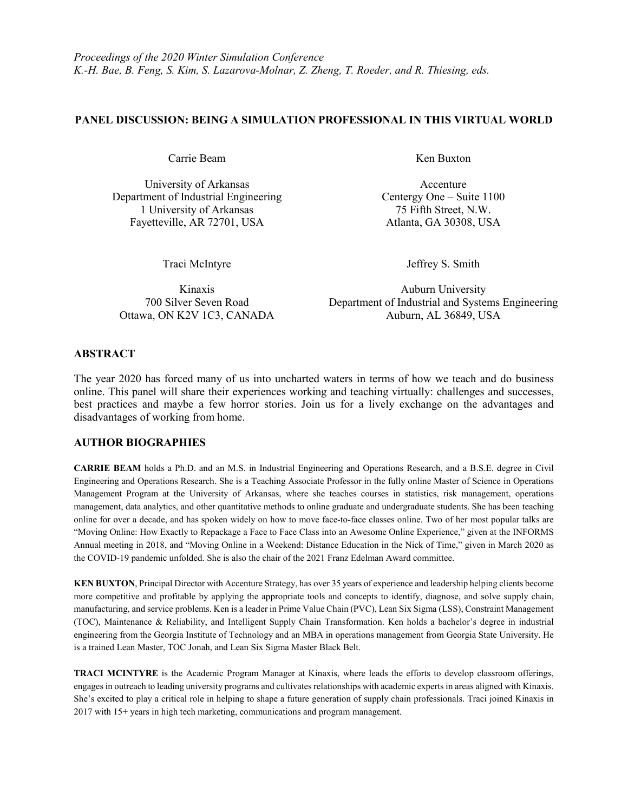## **PANEL DISCUSSION: BEING A SIMULATION PROFESSIONAL IN THIS VIRTUAL WORLD**

Carrie Beam Ken Buxton

University of Arkansas Accenture Department of Industrial Engineering Centergy One – Suite 1100 1 University of Arkansas 75 Fifth Street, N.W. Fayetteville, AR 72701, USA Atlanta, GA 30308, USA

Traci McIntyre Jeffrey S. Smith

Kinaxis Auburn University 700 Silver Seven Road Department of Industrial and Systems Engineering Ottawa, ON K2V 1C3, CANADA Auburn, AL 36849, USA

## **ABSTRACT**

The year 2020 has forced many of us into uncharted waters in terms of how we teach and do business online. This panel will share their experiences working and teaching virtually: challenges and successes, best practices and maybe a few horror stories. Join us for a lively exchange on the advantages and disadvantages of working from home.

## **AUTHOR BIOGRAPHIES**

**CARRIE BEAM** holds a Ph.D. and an M.S. in Industrial Engineering and Operations Research, and a B.S.E. degree in Civil Engineering and Operations Research. She is a Teaching Associate Professor in the fully online Master of Science in Operations Management Program at the University of Arkansas, where she teaches courses in statistics, risk management, operations management, data analytics, and other quantitative methods to online graduate and undergraduate students. She has been teaching online for over a decade, and has spoken widely on how to move face-to-face classes online. Two of her most popular talks are "Moving Online: How Exactly to Repackage a Face to Face Class into an Awesome Online Experience," given at the INFORMS Annual meeting in 2018, and "Moving Online in a Weekend: Distance Education in the Nick of Time," given in March 2020 as the COVID-19 pandemic unfolded. She is also the chair of the 2021 Franz Edelman Award committee.

**KEN BUXTON**, Principal Director with Accenture Strategy, has over 35 years of experience and leadership helping clients become more competitive and profitable by applying the appropriate tools and concepts to identify, diagnose, and solve supply chain, manufacturing, and service problems. Ken is a leader in Prime Value Chain (PVC), Lean Six Sigma (LSS), Constraint Management (TOC), Maintenance & Reliability, and Intelligent Supply Chain Transformation. Ken holds a bachelor's degree in industrial engineering from the Georgia Institute of Technology and an MBA in operations management from Georgia State University. He is a trained Lean Master, TOC Jonah, and Lean Six Sigma Master Black Belt.

**TRACI MCINTYRE** is the Academic Program Manager at Kinaxis, where leads the efforts to develop classroom offerings, engages in outreach to leading university programs and cultivates relationships with academic experts in areas aligned with Kinaxis. She's excited to play a critical role in helping to shape a future generation of supply chain professionals. Traci joined Kinaxis in 2017 with 15+ years in high tech marketing, communications and program management.